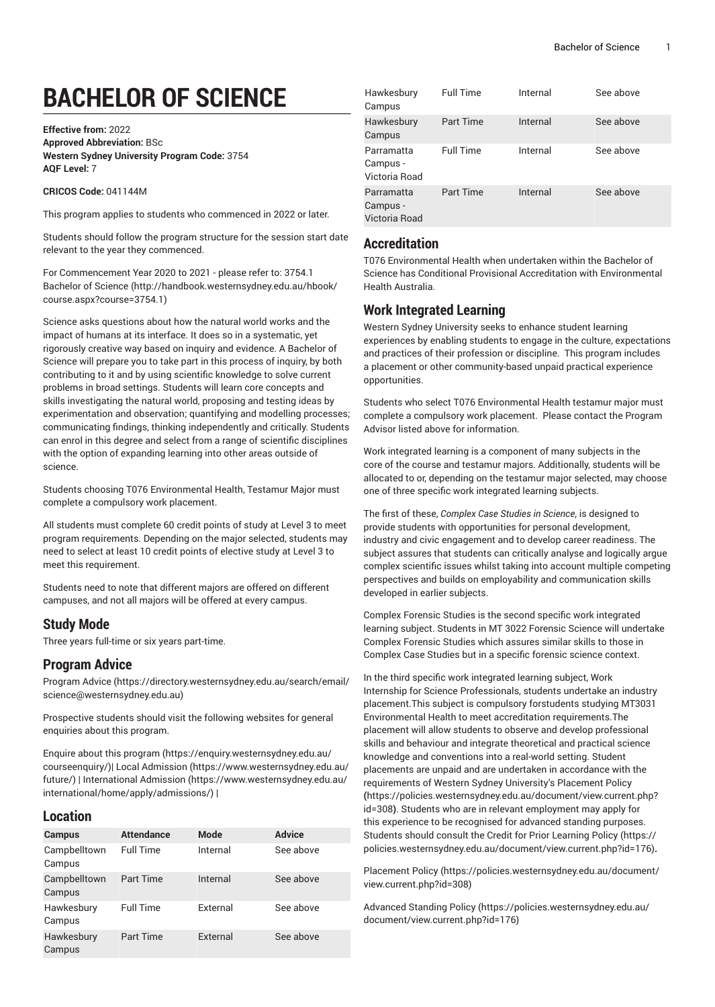# **BACHELOR OF SCIENCE**

**Effective from:** 2022 **Approved Abbreviation:** BSc **Western Sydney University Program Code:** 3754 **AQF Level:** 7

**CRICOS Code:** 041144M

This program applies to students who commenced in 2022 or later.

Students should follow the program structure for the session start date relevant to the year they commenced.

For [Commencement](http://handbook.westernsydney.edu.au/hbook/course.aspx?course=3754.1) Year 2020 to 2021 - please refer to: 3754.1 [Bachelor of Science \(http://handbook.westernsydney.edu.au/hbook/](http://handbook.westernsydney.edu.au/hbook/course.aspx?course=3754.1) [course.aspx?course=3754.1](http://handbook.westernsydney.edu.au/hbook/course.aspx?course=3754.1))

Science asks questions about how the natural world works and the impact of humans at its interface. It does so in a systematic, yet rigorously creative way based on inquiry and evidence. A Bachelor of Science will prepare you to take part in this process of inquiry, by both contributing to it and by using scientific knowledge to solve current problems in broad settings. Students will learn core concepts and skills investigating the natural world, proposing and testing ideas by experimentation and observation; quantifying and modelling processes; communicating findings, thinking independently and critically. Students can enrol in this degree and select from a range of scientific disciplines with the option of expanding learning into other areas outside of science.

Students choosing T076 Environmental Health, Testamur Major must complete a compulsory work placement.

All students must complete 60 credit points of study at Level 3 to meet program requirements. Depending on the major selected, students may need to select at least 10 credit points of elective study at Level 3 to meet this requirement.

Students need to note that different majors are offered on different campuses, and not all majors will be offered at every campus.

# **Study Mode**

Three years full-time or six years part-time.

# **Program Advice**

[Program](https://directory.westernsydney.edu.au/search/email/science@westernsydney.edu.au) Advice ([https://directory.westernsydney.edu.au/search/email/](https://directory.westernsydney.edu.au/search/email/science@westernsydney.edu.au) [science@westernsydney.edu.au\)](https://directory.westernsydney.edu.au/search/email/science@westernsydney.edu.au)

Prospective students should visit the following websites for general enquiries about this program.

Enquire about this [program \(https://enquiry.westernsydney.edu.au/](https://enquiry.westernsydney.edu.au/courseenquiry/) [courseenquiry/](https://enquiry.westernsydney.edu.au/courseenquiry/))| [Local Admission \(https://www.westernsydney.edu.au/](https://www.westernsydney.edu.au/future/) [future/\)](https://www.westernsydney.edu.au/future/) | [International Admission](https://www.westernsydney.edu.au/international/home/apply/admissions/) ([https://www.westernsydney.edu.au/](https://www.westernsydney.edu.au/international/home/apply/admissions/) [international/home/apply/admissions/](https://www.westernsydney.edu.au/international/home/apply/admissions/)) |

# **Location**

| Campus                 | <b>Attendance</b> | <b>Mode</b> | <b>Advice</b> |
|------------------------|-------------------|-------------|---------------|
| Campbelltown<br>Campus | <b>Full Time</b>  | Internal    | See above     |
| Campbelltown<br>Campus | <b>Part Time</b>  | Internal    | See above     |
| Hawkesbury<br>Campus   | <b>Full Time</b>  | External    | See above     |
| Hawkesbury<br>Campus   | Part Time         | External    | See above     |

| Hawkesbury<br>Campus                    | <b>Full Time</b> | Internal | See above |
|-----------------------------------------|------------------|----------|-----------|
| Hawkesbury<br>Campus                    | Part Time        | Internal | See above |
| Parramatta<br>Campus -<br>Victoria Road | <b>Full Time</b> | Internal | See above |
| Parramatta<br>Campus -<br>Victoria Road | Part Time        | Internal | See above |

### **Accreditation**

T076 Environmental Health when undertaken within the Bachelor of Science has Conditional Provisional Accreditation with Environmental Health Australia.

# **Work Integrated Learning**

Western Sydney University seeks to enhance student learning experiences by enabling students to engage in the culture, expectations and practices of their profession or discipline. This program includes a placement or other community-based unpaid practical experience opportunities.

Students who select T076 Environmental Health testamur major must complete a compulsory work placement. Please contact the Program Advisor listed above for information.

Work integrated learning is a component of many subjects in the core of the course and testamur majors. Additionally, students will be allocated to or, depending on the testamur major selected, may choose one of three specific work integrated learning subjects.

The first of these, *Complex Case Studies in Science*, is designed to provide students with opportunities for personal development, industry and civic engagement and to develop career readiness. The subject assures that students can critically analyse and logically argue complex scientific issues whilst taking into account multiple competing perspectives and builds on employability and communication skills developed in earlier subjects.

Complex Forensic Studies is the second specific work integrated learning subject. Students in MT 3022 Forensic Science will undertake Complex Forensic Studies which assures similar skills to those in Complex Case Studies but in a specific forensic science context.

In the third specific work integrated learning subject, Work Internship for Science Professionals, students undertake an industry placement.This subject is compulsory forstudents studying MT3031 Environmental Health to meet accreditation requirements.The placement will allow students to observe and develop professional skills and behaviour and integrate theoretical and practical science knowledge and conventions into a real-world setting. Student placements are unpaid and are undertaken in accordance with the requirements of Western Sydney University's [Placement](https://policies.westernsydney.edu.au/document/view.current.php?id=308) Policy **(**[https://policies.westernsydney.edu.au/document/view.current.php?](https://policies.westernsydney.edu.au/document/view.current.php?id=308) [id=308](https://policies.westernsydney.edu.au/document/view.current.php?id=308)**)**. Students who are in relevant employment may apply for this experience to be recognised for advanced standing purposes. Students should consult the Credit for Prior [Learning](https://policies.westernsydney.edu.au/document/view.current.php?id=176) Policy ([https://](https://policies.westernsydney.edu.au/document/view.current.php?id=176) [policies.westernsydney.edu.au/document/view.current.php?id=176\)](https://policies.westernsydney.edu.au/document/view.current.php?id=176)**.**

[Placement](https://policies.westernsydney.edu.au/document/view.current.php?id=308) Policy [\(https://policies.westernsydney.edu.au/document/](https://policies.westernsydney.edu.au/document/view.current.php?id=308) [view.current.php?id=308\)](https://policies.westernsydney.edu.au/document/view.current.php?id=308)

[Advanced](https://policies.westernsydney.edu.au/document/view.current.php?id=176) Standing Policy ([https://policies.westernsydney.edu.au/](https://policies.westernsydney.edu.au/document/view.current.php?id=176) [document/view.current.php?id=176\)](https://policies.westernsydney.edu.au/document/view.current.php?id=176)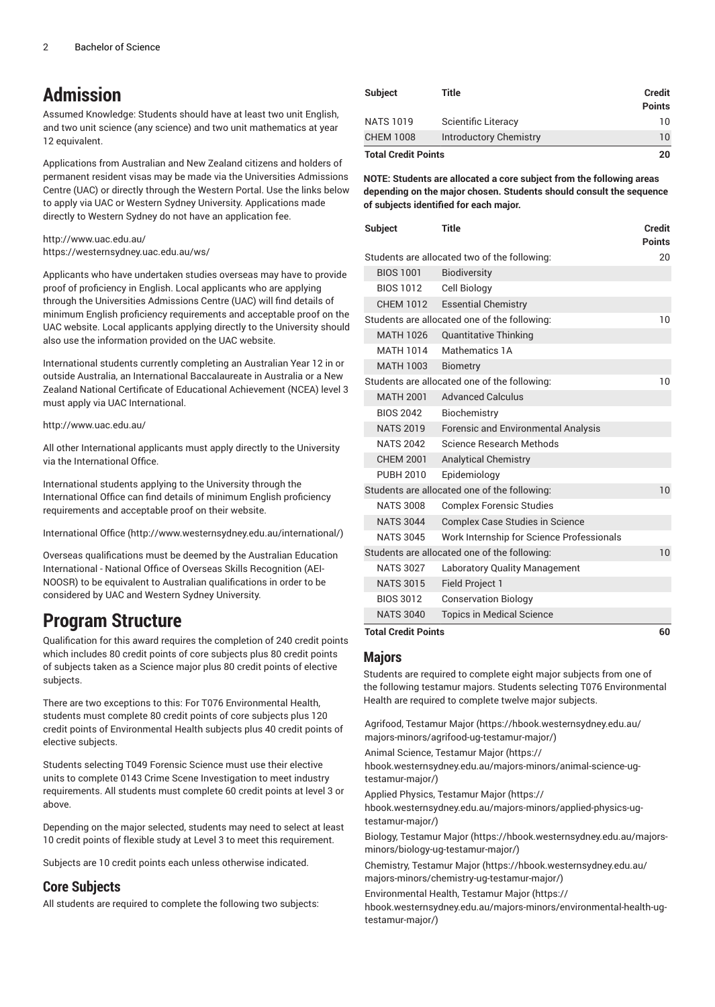# **Admission**

Assumed Knowledge: Students should have at least two unit English, and two unit science (any science) and two unit mathematics at year 12 equivalent.

Applications from Australian and New Zealand citizens and holders of permanent resident visas may be made via the Universities Admissions Centre (UAC) or directly through the Western Portal. Use the links below to apply via UAC or Western Sydney University. Applications made directly to Western Sydney do not have an application fee.

#### <http://www.uac.edu.au/> <https://westernsydney.uac.edu.au/ws/>

Applicants who have undertaken studies overseas may have to provide proof of proficiency in English. Local applicants who are applying through the Universities Admissions Centre (UAC) will find details of minimum English proficiency requirements and acceptable proof on the UAC website. Local applicants applying directly to the University should also use the information provided on the UAC website.

International students currently completing an Australian Year 12 in or outside Australia, an International Baccalaureate in Australia or a New Zealand National Certificate of Educational Achievement (NCEA) level 3 must apply via UAC International.

#### <http://www.uac.edu.au/>

All other International applicants must apply directly to the University via the International Office.

International students applying to the University through the International Office can find details of minimum English proficiency requirements and acceptable proof on their website.

[International Office \(http://www.westernsydney.edu.au/international/\)](http://www.westernsydney.edu.au/international/)

Overseas qualifications must be deemed by the Australian Education International - National Office of Overseas Skills Recognition (AEI-NOOSR) to be equivalent to Australian qualifications in order to be considered by UAC and Western Sydney University.

# **Program Structure**

Qualification for this award requires the completion of 240 credit points which includes 80 credit points of core subjects plus 80 credit points of subjects taken as a Science major plus 80 credit points of elective subjects.

There are two exceptions to this: For T076 Environmental Health, students must complete 80 credit points of core subjects plus 120 credit points of Environmental Health subjects plus 40 credit points of elective subjects.

Students selecting T049 Forensic Science must use their elective units to complete 0143 Crime Scene Investigation to meet industry requirements. All students must complete 60 credit points at level 3 or above.

Depending on the major selected, students may need to select at least 10 credit points of flexible study at Level 3 to meet this requirement.

Subjects are 10 credit points each unless otherwise indicated.

# **Core Subjects**

All students are required to complete the following two subjects:

| Subject                    | Title                  | <b>Credit</b><br><b>Points</b> |
|----------------------------|------------------------|--------------------------------|
| NATS 1019                  | Scientific Literacy    | 10                             |
| <b>CHEM 1008</b>           | Introductory Chemistry | 10                             |
| <b>Total Credit Points</b> |                        | 20                             |

**NOTE: Students are allocated a core subject from the following areas depending on the major chosen. Students should consult the sequence of subjects identified for each major.**

| <b>Subject</b>                               | <b>Title</b>                                 | <b>Credit</b><br><b>Points</b> |
|----------------------------------------------|----------------------------------------------|--------------------------------|
|                                              | Students are allocated two of the following: | 20                             |
| <b>BIOS 1001</b>                             | <b>Biodiversity</b>                          |                                |
| BIOS 1012                                    | Cell Biology                                 |                                |
| <b>CHEM 1012</b>                             | <b>Essential Chemistry</b>                   |                                |
| Students are allocated one of the following: |                                              | 10                             |
| <b>MATH 1026</b>                             | <b>Quantitative Thinking</b>                 |                                |
| MATH 1014                                    | Mathematics 1A                               |                                |
| <b>MATH 1003</b>                             | <b>Biometry</b>                              |                                |
|                                              | Students are allocated one of the following: | 10                             |
| <b>MATH 2001</b>                             | <b>Advanced Calculus</b>                     |                                |
| <b>BIOS 2042</b>                             | Biochemistry                                 |                                |
| <b>NATS 2019</b>                             | <b>Forensic and Environmental Analysis</b>   |                                |
| <b>NATS 2042</b>                             | Science Research Methods                     |                                |
| <b>CHEM 2001</b>                             | <b>Analytical Chemistry</b>                  |                                |
| <b>PUBH 2010</b>                             | Epidemiology                                 |                                |
|                                              | Students are allocated one of the following: | 10                             |
| <b>NATS 3008</b>                             | <b>Complex Forensic Studies</b>              |                                |
| <b>NATS 3044</b>                             | <b>Complex Case Studies in Science</b>       |                                |
| <b>NATS 3045</b>                             | Work Internship for Science Professionals    |                                |
|                                              | Students are allocated one of the following: | 10                             |
| <b>NATS 3027</b>                             | <b>Laboratory Quality Management</b>         |                                |
| <b>NATS 3015</b>                             | <b>Field Project 1</b>                       |                                |
| <b>BIOS 3012</b>                             | <b>Conservation Biology</b>                  |                                |
| <b>NATS 3040</b>                             | <b>Topics in Medical Science</b>             |                                |
| <b>Total Credit Points</b>                   |                                              | 60                             |

**Majors**

Students are required to complete eight major subjects from one of the following testamur majors. Students selecting T076 Environmental Health are required to complete twelve major subjects.

Agrifood, [Testamur](https://hbook.westernsydney.edu.au/majors-minors/agrifood-ug-testamur-major/) Major [\(https://hbook.westernsydney.edu.au/](https://hbook.westernsydney.edu.au/majors-minors/agrifood-ug-testamur-major/) [majors-minors/agrifood-ug-testamur-major/\)](https://hbook.westernsydney.edu.au/majors-minors/agrifood-ug-testamur-major/)

Animal Science, [Testamur](https://hbook.westernsydney.edu.au/majors-minors/animal-science-ug-testamur-major/) Major ([https://](https://hbook.westernsydney.edu.au/majors-minors/animal-science-ug-testamur-major/)

[hbook.westernsydney.edu.au/majors-minors/animal-science-ug](https://hbook.westernsydney.edu.au/majors-minors/animal-science-ug-testamur-major/)[testamur-major/](https://hbook.westernsydney.edu.au/majors-minors/animal-science-ug-testamur-major/))

Applied Physics, [Testamur](https://hbook.westernsydney.edu.au/majors-minors/applied-physics-ug-testamur-major/) Major ([https://](https://hbook.westernsydney.edu.au/majors-minors/applied-physics-ug-testamur-major/)

[hbook.westernsydney.edu.au/majors-minors/applied-physics-ug](https://hbook.westernsydney.edu.au/majors-minors/applied-physics-ug-testamur-major/)[testamur-major/](https://hbook.westernsydney.edu.au/majors-minors/applied-physics-ug-testamur-major/))

Biology, [Testamur](https://hbook.westernsydney.edu.au/majors-minors/biology-ug-testamur-major/) Major [\(https://hbook.westernsydney.edu.au/majors](https://hbook.westernsydney.edu.au/majors-minors/biology-ug-testamur-major/)[minors/biology-ug-testamur-major/](https://hbook.westernsydney.edu.au/majors-minors/biology-ug-testamur-major/))

[Chemistry,](https://hbook.westernsydney.edu.au/majors-minors/chemistry-ug-testamur-major/) Testamur Major [\(https://hbook.westernsydney.edu.au/](https://hbook.westernsydney.edu.au/majors-minors/chemistry-ug-testamur-major/) [majors-minors/chemistry-ug-testamur-major/\)](https://hbook.westernsydney.edu.au/majors-minors/chemistry-ug-testamur-major/)

[Environmental](https://hbook.westernsydney.edu.au/majors-minors/environmental-health-ug-testamur-major/) Health, Testamur Major ([https://](https://hbook.westernsydney.edu.au/majors-minors/environmental-health-ug-testamur-major/) [hbook.westernsydney.edu.au/majors-minors/environmental-health-ug](https://hbook.westernsydney.edu.au/majors-minors/environmental-health-ug-testamur-major/)[testamur-major/](https://hbook.westernsydney.edu.au/majors-minors/environmental-health-ug-testamur-major/))